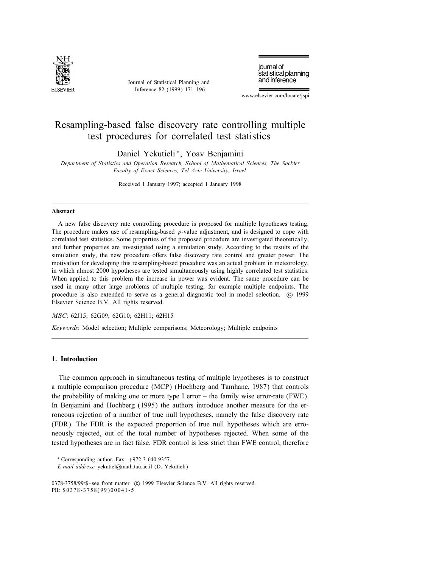

Journal of Statistical Planning and Inference 82 (1999) 171–196

journal of statistical planning and inference

www.elsevier.com/locate/jspi

# Resampling-based false discovery rate controlling multiple test procedures for correlated test statistics

Daniel Yekutieli <sup>∗</sup>, Yoav Benjamini

Department of Statistics and Operation Research, School of Mathematical Sciences, The Sackler Faculty of Exact Sciences, Tel Aviv University, Israel

Received 1 January 1997; accepted 1 January 1998

## Abstract

A new false discovery rate controlling procedure is proposed for multiple hypotheses testing. The procedure makes use of resampling-based p-value adjustment, and is designed to cope with correlated test statistics. Some properties of the proposed procedure are investigated theoretically, and further properties are investigated using a simulation study. According to the results of the simulation study, the new procedure offers false discovery rate control and greater power. The motivation for developing this resampling-based procedure was an actual problem in meteorology, in which almost 2000 hypotheses are tested simultaneously using highly correlated test statistics. When applied to this problem the increase in power was evident. The same procedure can be used in many other large problems of multiple testing, for example multiple endpoints. The procedure is also extended to serve as a general diagnostic tool in model selection.  $\degree$  (21999) Elsevier Science B.V. All rights reserved.

MSC: 62J15; 62G09; 62G10; 62H11; 62H15

Keywords: Model selection; Multiple comparisons; Meteorology; Multiple endpoints

# 1. Introduction

The common approach in simultaneous testing of multiple hypotheses is to construct a multiple comparison procedure (MCP) (Hochberg and Tamhane, 1987) that controls the probability of making one or more type I error – the family wise error-rate (FWE). In Benjamini and Hochberg (1995) the authors introduce another measure for the erroneous rejection of a number of true null hypotheses, namely the false discovery rate (FDR). The FDR is the expected proportion of true null hypotheses which are erroneously rejected, out of the total number of hypotheses rejected. When some of the tested hypotheses are in fact false, FDR control is less strict than FWE control, therefore

<sup>∗</sup> Corresponding author. Fax: +972-3-640-9357.

E-mail address: yekutiel@math.tau.ac.il (D. Yekutieli)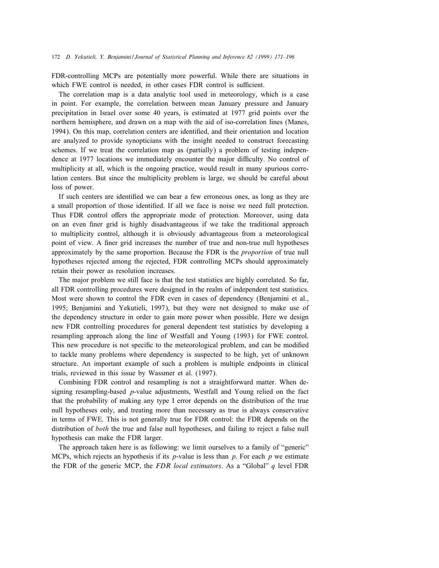FDR-controlling MCPs are potentially more powerful. While there are situations in which FWE control is needed, in other cases FDR control is sufficient.

The correlation map is a data analytic tool used in meteorology, which is a case in point. For example, the correlation between mean January pressure and January precipitation in Israel over some 40 years, is estimated at 1977 grid points over the northern hemisphere, and drawn on a map with the aid of iso-correlation lines (Manes, 1994). On this map, correlation centers are identified, and their orientation and location are analyzed to provide synopticians with the insight needed to construct forecasting schemes. If we treat the correlation map as (partially) a problem of testing independence at 1977 locations we immediately encounter the major difficulty. No control of multiplicity at all, which is the ongoing practice, would result in many spurious correlation centers. But since the multiplicity problem is large, we should be careful about loss of power.

If such centers are identied we can bear a few erroneous ones, as long as they are a small proportion of those identied. If all we face is noise we need full protection. Thus FDR control offers the appropriate mode of protection. Moreover, using data on an even finer grid is highly disadvantageous if we take the traditional approach to multiplicity control, although it is obviously advantageous from a meteorological point of view. A finer grid increases the number of true and non-true null hypotheses approximately by the same proportion. Because the FDR is the *proportion* of true null hypotheses rejected among the rejected, FDR controlling MCPs should approximately retain their power as resolution increases.

The major problem we still face is that the test statistics are highly correlated. So far, all FDR controlling procedures were designed in the realm of independent test statistics. Most were shown to control the FDR even in cases of dependency (Benjamini et al., 1995; Benjamini and Yekutieli, 1997), but they were not designed to make use of the dependency structure in order to gain more power when possible. Here we design new FDR controlling procedures for general dependent test statistics by developing a resampling approach along the line of Westfall and Young (1993) for FWE control. This new procedure is not specific to the meteorological problem, and can be modified to tackle many problems where dependency is suspected to be high, yet of unknown structure. An important example of such a problem is multiple endpoints in clinical trials, reviewed in this issue by Wassmer et al. (1997).

Combining FDR control and resampling is not a straightforward matter. When designing resampling-based  $p$ -value adjustments, Westfall and Young relied on the fact that the probability of making any type I error depends on the distribution of the true null hypotheses only, and treating more than necessary as true is always conservative in terms of FWE. This is not generally true for FDR control: the FDR depends on the distribution of *both* the true and false null hypotheses, and failing to reject a false null hypothesis can make the FDR larger.

The approach taken here is as following: we limit ourselves to a family of "generic" MCPs, which rejects an hypothesis if its  $p$ -value is less than  $p$ . For each  $p$  we estimate the FDR of the generic MCP, the FDR local estimators. As a "Global"  $q$  level FDR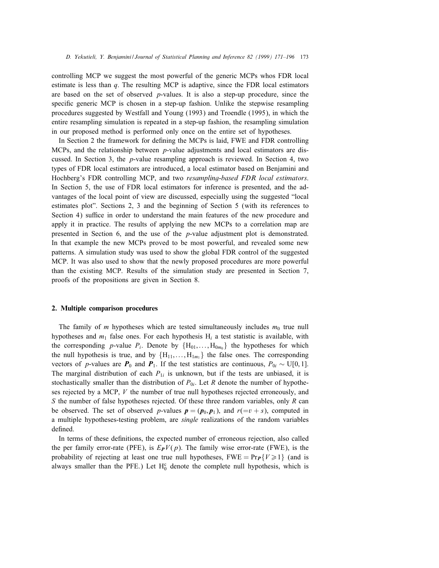controlling MCP we suggest the most powerful of the generic MCPs whos FDR local estimate is less than  $q$ . The resulting MCP is adaptive, since the FDR local estimators are based on the set of observed p-values. It is also a step-up procedure, since the specific generic MCP is chosen in a step-up fashion. Unlike the stepwise resampling procedures suggested by Westfall and Young (1993) and Troendle (1995), in which the entire resampling simulation is repeated in a step-up fashion, the resampling simulation in our proposed method is performed only once on the entire set of hypotheses.

In Section 2 the framework for defining the MCPs is laid, FWE and FDR controlling MCPs, and the relationship between  $p$ -value adjustments and local estimators are discussed. In Section 3, the p-value resampling approach is reviewed. In Section 4, two types of FDR local estimators are introduced, a local estimator based on Benjamini and Hochberg's FDR controlling MCP, and two resampling-based FDR local estimators. In Section 5, the use of FDR local estimators for inference is presented, and the advantages of the local point of view are discussed, especially using the suggested "local estimates plot". Sections 2, 3 and the beginning of Section 5 (with its references to Section 4) suffice in order to understand the main features of the new procedure and apply it in practice. The results of applying the new MCPs to a correlation map are presented in Section 6, and the use of the p-value adjustment plot is demonstrated. In that example the new MCPs proved to be most powerful, and revealed some new patterns. A simulation study was used to show the global FDR control of the suggested MCP. It was also used to show that the newly proposed procedures are more powerful than the existing MCP. Results of the simulation study are presented in Section 7, proofs of the propositions are given in Section 8.

#### 2. Multiple comparison procedures

The family of m hypotheses which are tested simultaneously includes  $m_0$  true null hypotheses and  $m_1$  false ones. For each hypothesis  $H_i$  a test statistic is available, with the corresponding p-value  $P_i$ . Denote by  ${H_{01},...,H_{0m}}$  the hypotheses for which the null hypothesis is true, and by  ${H_{11},...,H_{1m}}$  the false ones. The corresponding vectors of p-values are  $P_0$  and  $P_1$ . If the test statistics are continuous,  $P_{0i} \sim U[0,1]$ . The marginal distribution of each  $P_{1i}$  is unknown, but if the tests are unbiased, it is stochastically smaller than the distribution of  $P_{0i}$ . Let R denote the number of hypotheses rejected by a MCP,  $V$  the number of true null hypotheses rejected erroneously, and S the number of false hypotheses rejected. Of these three random variables, only  $R$  can be observed. The set of observed p-values  $p = (p_0, p_1)$ , and  $r(=v + s)$ , computed in a multiple hypotheses-testing problem, are *single* realizations of the random variables defined.

In terms of these definitions, the expected number of erroneous rejection, also called the per family error-rate (PFE), is  $E_PV(p)$ . The family wise error-rate (FWE), is the probability of rejecting at least one true null hypotheses,  $\text{FWE} = \text{Pr}_{\textbf{P}} \{V \geq 1\}$  (and is always smaller than the PFE.) Let  $H_0^c$  denote the complete null hypothesis, which is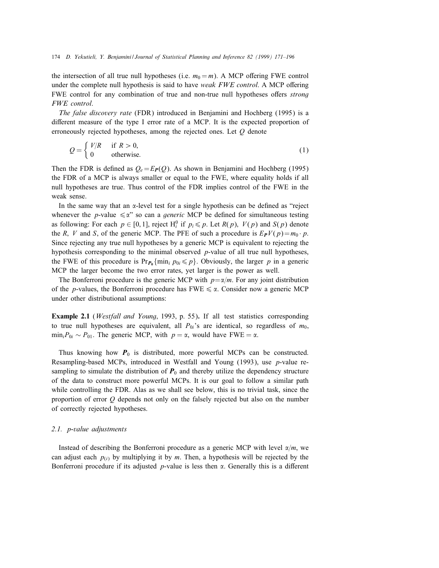the intersection of all true null hypotheses (i.e.  $m_0 = m$ ). A MCP offering FWE control under the complete null hypothesis is said to have weak FWE control. A MCP offering FWE control for any combination of true and non-true null hypotheses offers *strong* FWE control.

The false discovery rate (FDR) introduced in Benjamini and Hochberg (1995) is a different measure of the type I error rate of a MCP. It is the expected proportion of erroneously rejected hypotheses, among the rejected ones. Let  $Q$  denote

$$
Q = \begin{cases} V/R & \text{if } R > 0, \\ 0 & \text{otherwise.} \end{cases}
$$
 (1)

Then the FDR is defined as  $Q_e = E_P(Q)$ . As shown in Benjamini and Hochberg (1995) the FDR of a MCP is always smaller or equal to the FWE, where equality holds if all null hypotheses are true. Thus control of the FDR implies control of the FWE in the weak sense.

In the same way that an  $\alpha$ -level test for a single hypothesis can be defined as "reject" whenever the *p*-value  $\leq \alpha$ " so can a *generic* MCP be defined for simultaneous testing as following: For each  $p \in [0, 1]$ , reject  $H_i^0$  if  $p_i \leq p$ . Let  $R(p)$ ,  $V(p)$  and  $S(p)$  denote the R, V and S, of the generic MCP. The PFE of such a procedure is  $E_PV(p)=m_0 \cdot p$ . Since rejecting any true null hypotheses by a generic MCP is equivalent to rejecting the hypothesis corresponding to the minimal observed  $p$ -value of all true null hypotheses, the FWE of this procedure is  $Pr_{P_0} \{\min_i p_{0i} \leq p\}$ . Obviously, the larger p in a generic MCP the larger become the two error rates, yet larger is the power as well.

The Bonferroni procedure is the generic MCP with  $p=\alpha/m$ . For any joint distribution of the *p*-values, the Bonferroni procedure has  $FWE \leq \alpha$ . Consider now a generic MCP under other distributional assumptions:

**Example 2.1** (*Westfall and Young*, 1993, p. 55). If all test statistics corresponding to true null hypotheses are equivalent, all  $P_{0i}$ 's are identical, so regardless of  $m_0$ ,  $\min_i P_{0i} \sim P_{01}$ . The generic MCP, with  $p = \alpha$ , would have FWE =  $\alpha$ .

Thus knowing how  $P_0$  is distributed, more powerful MCPs can be constructed. Resampling-based MCPs, introduced in Westfall and Young (1993), use p-value resampling to simulate the distribution of  $P_0$  and thereby utilize the dependency structure of the data to construct more powerful MCPs. It is our goal to follow a similar path while controlling the FDR. Alas as we shall see below, this is no trivial task, since the proportion of error  $Q$  depends not only on the falsely rejected but also on the number of correctly rejected hypotheses.

## 2.1. p-value adjustments

Instead of describing the Bonferroni procedure as a generic MCP with level  $\alpha/m$ , we can adjust each  $p(i)$  by multiplying it by m. Then, a hypothesis will be rejected by the Bonferroni procedure if its adjusted  $p$ -value is less then  $\alpha$ . Generally this is a different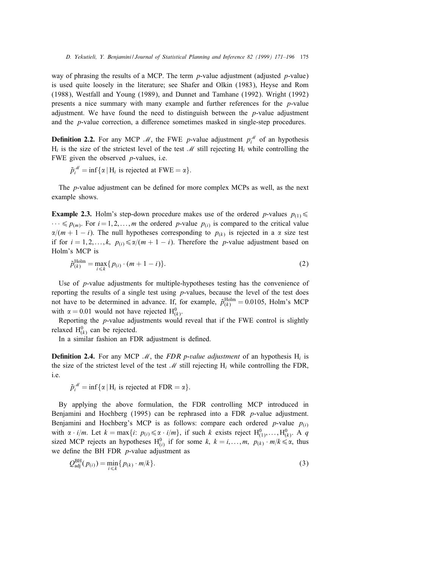way of phrasing the results of a MCP. The term  $p$ -value adjustment (adjusted  $p$ -value) is used quite loosely in the literature; see Shafer and Olkin (1983), Heyse and Rom (1988), Westfall and Young (1989), and Dunnet and Tamhane (1992). Wright (1992) presents a nice summary with many example and further references for the p-value adjustment. We have found the need to distinguish between the  $p$ -value adjustment and the  $p$ -value correction, a difference sometimes masked in single-step procedures.

**Definition 2.2.** For any MCP  $\mathcal{M}$ , the FWE p-value adjustment  $p_i^{\mathcal{M}}$  of an hypothesis  $H_i$  is the size of the strictest level of the test M still rejecting  $H_i$  while controlling the FWE given the observed  $p$ -values, i.e.

$$
\tilde{p}_i^{\mathcal{M}} = \inf \{ \alpha \mid H_i \text{ is rejected at FWE} = \alpha \}.
$$

The *p*-value adjustment can be defined for more complex MCPs as well, as the next example shows.

**Example 2.3.** Holm's step-down procedure makes use of the ordered p-values  $p_{(1)} \le$  $\cdots \leq p_{(m)}$ . For  $i = 1, 2, \ldots, m$  the ordered p-value  $p_{(i)}$  is compared to the critical value  $\alpha/(m + 1 - i)$ . The null hypotheses corresponding to  $p_{(k)}$  is rejected in a  $\alpha$  size test if for  $i = 1, 2, ..., k$ ,  $p(i) \le \alpha/(m + 1 - i)$ . Therefore the p-value adjustment based on Holm's MCP is

$$
\tilde{p}_{(k)}^{\text{Holm}} = \max_{i \leq k} \{ p_{(i)} \cdot (m+1-i) \}. \tag{2}
$$

Use of p-value adjustments for multiple-hypotheses testing has the convenience of reporting the results of a single test using  $p$ -values, because the level of the test does not have to be determined in advance. If, for example,  $\tilde{p}_{(k)}^{\text{Holm}} = 0.0105$ , Holm's MCP with  $\alpha = 0.01$  would not have rejected  $H^0_{(k)}$ .

Reporting the p-value adjustments would reveal that if the FWE control is slightly relaxed  $H^0_{(k)}$  can be rejected.

In a similar fashion an FDR adjustment is defined.

**Definition 2.4.** For any MCP M, the FDR p-value adjustment of an hypothesis  $H_i$  is the size of the strictest level of the test  $\mathcal M$  still rejecting  $H_i$  while controlling the FDR, i.e.

$$
\tilde{p}_i^{\mathcal{M}} = \inf \{ \alpha \mid H_i \text{ is rejected at FDR} = \alpha \}.
$$

By applying the above formulation, the FDR controlling MCP introduced in Benjamini and Hochberg  $(1995)$  can be rephrased into a FDR *p*-value adjustment. Benjamini and Hochberg's MCP is as follows: compare each ordered  $p$ -value  $p_{(i)}$ with  $\alpha \cdot i/m$ . Let  $k = \max\{i: p_{(i)} \leq \alpha \cdot i/m\}$ , if such k exists reject  $H^0_{(1)},...,H^0_{(k)}$ . A q sized MCP rejects an hypotheses  $H_{(i)}^0$  if for some k,  $k = i, \ldots, m, p_{(k)} \cdot m/k \le \alpha$ , thus we define the BH FDR  $p$ -value adjustment as

$$
Q_{\text{adj}}^{\text{BH}}(p_{(i)}) = \min_{i \le k} \{ p_{(k)} \cdot m/k \}. \tag{3}
$$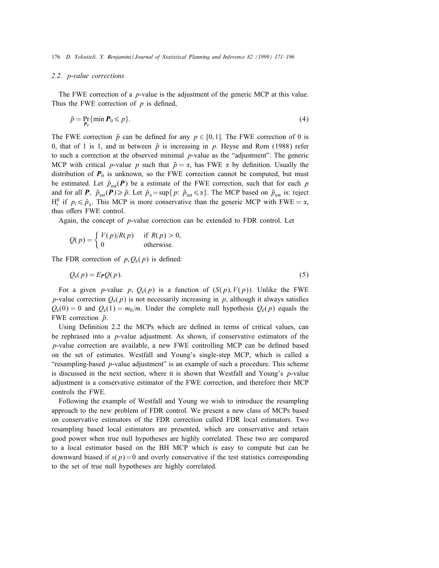#### 2.2. p-value corrections

The FWE correction of a p-value is the adjustment of the generic MCP at this value. Thus the FWE correction of  $p$  is defined,

$$
\tilde{p} = \Pr_{P_0} \{ \min P_0 \leq p \}. \tag{4}
$$

The FWE correction  $\tilde{p}$  can be defined for any  $p \in [0, 1]$ . The FWE correction of 0 is 0, that of 1 is 1, and in between  $\tilde{p}$  is increasing in p. Heyse and Rom (1988) refer to such a correction at the observed minimal  $p$ -value as the "adjustment". The generic MCP with critical p-value p such that  $\tilde{p} = \alpha$ , has FWE  $\alpha$  by definition. Usually the distribution of  $P_0$  is unknown, so the FWE correction cannot be computed, but must be estimated. Let  $\tilde{p}_{est}(\boldsymbol{P})$  be a estimate of the FWE correction, such that for each p and for all P,  $\tilde{p}_{est}(P) \geq \tilde{p}$ . Let  $\hat{p}_{\alpha} = \sup\{p: \tilde{p}_{est} \leq \alpha\}$ . The MCP based on  $\tilde{p}_{est}$  is: reject  $H_i^0$  if  $p_i \le \hat{p}_{\alpha}$ . This MCP is more conservative than the generic MCP with FWE =  $\alpha$ , thus offers FWE control.

Again, the concept of p-value correction can be extended to FDR control. Let

$$
Q(p) = \begin{cases} V(p)/R(p) & \text{if } R(p) > 0, \\ 0 & \text{otherwise.} \end{cases}
$$

The FDR correction of  $p, Q_e(p)$  is defined:

$$
Q_{e}(p) = E_{P}Q(p). \tag{5}
$$

For a given p-value p,  $Q_e(p)$  is a function of  $(S(p), V(p))$ . Unlike the FWE p-value correction  $Q_e(p)$  is not necessarily increasing in p, although it always satisfies  $Q_e(0) = 0$  and  $Q_e(1) = m_0/m$ . Under the complete null hypothesis  $Q_e(p)$  equals the FWE correction  $\tilde{p}$ .

Using Definition 2.2 the MCPs which are defined in terms of critical values, can be rephrased into a  $p$ -value adjustment. As shown, if conservative estimators of the  $p$ -value correction are available, a new FWE controlling MCP can be defined based on the set of estimates. Westfall and Young's single-step MCP, which is called a "resampling-based  $p$ -value adjustment" is an example of such a procedure. This scheme is discussed in the next section, where it is shown that Westfall and Young's p-value adjustment is a conservative estimator of the FWE correction, and therefore their MCP controls the FWE.

Following the example of Westfall and Young we wish to introduce the resampling approach to the new problem of FDR control. We present a new class of MCPs based on conservative estimators of the FDR correction called FDR local estimators. Two resampling based local estimators are presented, which are conservative and retain good power when true null hypotheses are highly correlated. These two are compared to a local estimator based on the BH MCP which is easy to compute but can be downward biased if  $s(p)=0$  and overly conservative if the test statistics corresponding to the set of true null hypotheses are highly correlated.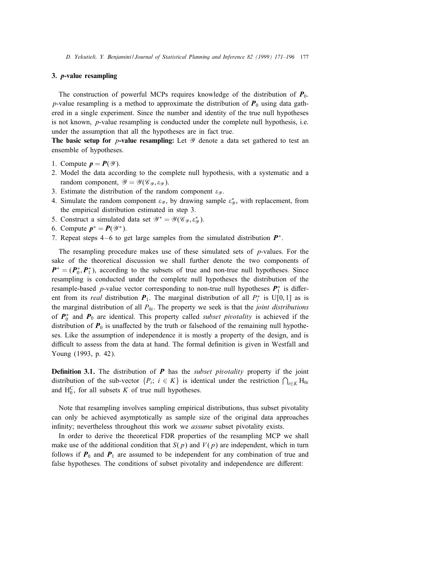## 3. p-value resampling

The construction of powerful MCPs requires knowledge of the distribution of  $P_0$ . p-value resampling is a method to approximate the distribution of  $P_0$  using data gathered in a single experiment. Since the number and identity of the true null hypotheses is not known, p-value resampling is conducted under the complete null hypothesis, i.e. under the assumption that all the hypotheses are in fact true.

The basic setup for *p*-value resampling: Let  $\mathscr Y$  denote a data set gathered to test an ensemble of hypotheses.

- 1. Compute  $p = P(\mathcal{Y})$ .
- 2. Model the data according to the complete null hypothesis, with a systematic and a random component,  $\mathscr{Y} = \mathscr{Y}(\mathscr{C}_{\mathscr{Y}}, \varepsilon_{\mathscr{Y}})$ .
- 3. Estimate the distribution of the random component  $\varepsilon_{\mathcal{Y}}$ .
- 4. Simulate the random component  $\varepsilon_{\mathcal{Y}}$ , by drawing sample  $\varepsilon_{\mathcal{Y}}^*$ , with replacement, from the empirical distribution estimated in step 3.
- 5. Construct a simulated data set  $\mathcal{Y}^* = \mathcal{Y}(\mathcal{C}_{\mathcal{Y}}, \varepsilon_{\mathcal{Y}}^*)$ .
- 6. Compute  $p^* = P(\mathscr{Y}^*)$ .
- 7. Repeat steps 4 6 to get large samples from the simulated distribution  $P^*$ .

The resampling procedure makes use of these simulated sets of  $p$ -values. For the sake of the theoretical discussion we shall further denote the two components of  $P^* = (P_0^*, P_1^*)$ , according to the subsets of true and non-true null hypotheses. Since resampling is conducted under the complete null hypotheses the distribution of the resample-based p-value vector corresponding to non-true null hypotheses  $P_1^*$  is different from its *real* distribution  $P_1$ . The marginal distribution of all  $P_i^*$  is U[0, 1] as is the marginal distribution of all  $P_{0i}$ . The property we seek is that the *joint distributions* of  $P_0^*$  and  $P_0$  are identical. This property called *subset pivotality* is achieved if the distribution of  $P_0$  is unaffected by the truth or falsehood of the remaining null hypotheses. Like the assumption of independence it is mostly a property of the design, and is difficult to assess from the data at hand. The formal definition is given in Westfall and Young (1993, p. 42).

**Definition 3.1.** The distribution of  $P$  has the *subset pivotality* property if the joint distribution of the sub-vector  $\{P_i; i \in K\}$  is identical under the restriction  $\bigcap_{i \in K} H_{0i}$ and  $H_0^C$ , for all subsets K of true null hypotheses.

Note that resampling involves sampling empirical distributions, thus subset pivotality can only be achieved asymptotically as sample size of the original data approaches infinity; nevertheless throughout this work we *assume* subset pivotality exists.

In order to derive the theoretical FDR properties of the resampling MCP we shall make use of the additional condition that  $S(p)$  and  $V(p)$  are independent, which in turn follows if  $P_0$  and  $P_1$  are assumed to be independent for any combination of true and false hypotheses. The conditions of subset pivotality and independence are different: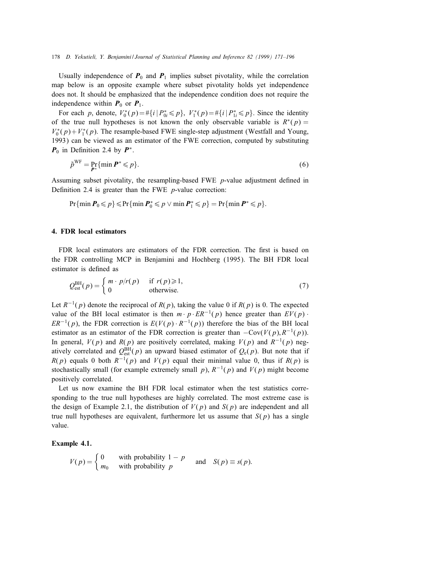Usually independence of  $P_0$  and  $P_1$  implies subset pivotality, while the correlation map below is an opposite example where subset pivotality holds yet independence does not. It should be emphasized that the independence condition does not require the independence within  $P_0$  or  $P_1$ .

For each p, denote,  $V_0^*(p) = \#\{i \mid P_{0i}^* \leq p\}$ ,  $V_1^*(p) = \#\{i \mid P_{1i}^* \leq p\}$ . Since the identity of the true null hypotheses is not known the only observable variable is  $R^*(p) =$  $V_0^*(p) + V_1^*(p)$ . The resample-based FWE single-step adjustment (Westfall and Young, 1993) can be viewed as an estimator of the FWE correction, computed by substituting  $P_0$  in Definition 2.4 by  $P^*$ .

$$
\tilde{p}^{\text{WF}} = \Pr_{\boldsymbol{P}^*} \{ \min \boldsymbol{P}^* \leqslant p \}. \tag{6}
$$

Assuming subset pivotality, the resampling-based FWE  $p$ -value adjustment defined in Definition 2.4 is greater than the FWE  $p$ -value correction:

$$
\Pr\{\min P_0 \leqslant p\} \leqslant \Pr\{\min P_0^* \leqslant p \vee \min P_1^* \leqslant p\} = \Pr\{\min P^* \leqslant p\}.
$$

## 4. FDR local estimators

FDR local estimators are estimators of the FDR correction. The first is based on the FDR controlling MCP in Benjamini and Hochberg (1995). The BH FDR local estimator is defined as

$$
Q_{est}^{BH}(p) = \begin{cases} m \cdot p/r(p) & \text{if } r(p) \ge 1, \\ 0 & \text{otherwise.} \end{cases}
$$
 (7)

Let  $R^{-1}(p)$  denote the reciprocal of  $R(p)$ , taking the value 0 if  $R(p)$  is 0. The expected value of the BH local estimator is then  $m \cdot p \cdot ER^{-1}(p)$  hence greater than  $EV(p) \cdot$  $ER^{-1}(p)$ , the FDR correction is  $E(V(p) \cdot R^{-1}(p))$  therefore the bias of the BH local estimator as an estimator of the FDR correction is greater than  $-Cov(V(p), R^{-1}(p))$ . In general,  $V(p)$  and  $R(p)$  are positively correlated, making  $V(p)$  and  $R^{-1}(p)$  negatively correlated and  $Q_{est}^{BH}(p)$  an upward biased estimator of  $Q_{e}(p)$ . But note that if  $R(p)$  equals 0 both  $R^{-1}(p)$  and  $V(p)$  equal their minimal value 0, thus if  $R(p)$  is stochastically small (for example extremely small p),  $R^{-1}(p)$  and  $V(p)$  might become positively correlated.

Let us now examine the BH FDR local estimator when the test statistics corresponding to the true null hypotheses are highly correlated. The most extreme case is the design of Example 2.1, the distribution of  $V(p)$  and  $S(p)$  are independent and all true null hypotheses are equivalent, furthermore let us assume that  $S(p)$  has a single value.

## Example 4.1.

$$
V(p) = \begin{cases} 0 & \text{with probability } 1 - p \\ m_0 & \text{with probability } p \end{cases} \text{ and } S(p) \equiv s(p).
$$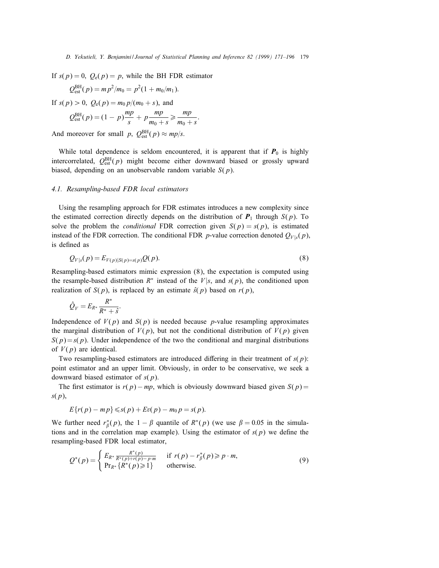If  $s(p) = 0$ ,  $Q_e(p) = p$ , while the BH FDR estimator

$$
Q_{est}^{BH}(p) = m p^2 / m_0 = p^2 (1 + m_0 / m_1).
$$

If  $s(p) > 0$ ,  $Q_e(p) = m_0 p/(m_0 + s)$ , and

$$
Q_{est}^{BH}(p) = (1 - p)\frac{mp}{s} + p\frac{mp}{m_0 + s} \ge \frac{mp}{m_0 + s}.
$$

And moreover for small p,  $Q_{est}^{BH}(p) \approx mp/s$ .

While total dependence is seldom encountered, it is apparent that if  $P_0$  is highly intercorrelated,  $Q_{est}^{BH}(p)$  might become either downward biased or grossly upward biased, depending on an unobservable random variable  $S(p)$ .

#### 4.1. Resampling-based FDR local estimators

Using the resampling approach for FDR estimates introduces a new complexity since the estimated correction directly depends on the distribution of  $P_1$  through  $S(p)$ . To solve the problem the *conditional* FDR correction given  $S(p) = s(p)$ , is estimated instead of the FDR correction. The conditional FDR p-value correction denoted  $Q_{V|s}(p)$ , is defined as

$$
Q_{V|s}(p) = E_{V(p)|S(p)=s(p)}Q(p).
$$
\n(8)

Resampling-based estimators mimic expression (8), the expectation is computed using the resample-based distribution  $R^*$  instead of the  $V|s$ , and  $s(p)$ , the conditioned upon realization of  $S(p)$ , is replaced by an estimate  $\hat{s}(p)$  based on  $r(p)$ ,

$$
\hat{Q}_V = E_{R^*} \frac{R^*}{R^* + \hat{s}}.
$$

Independence of  $V(p)$  and  $S(p)$  is needed because p-value resampling approximates the marginal distribution of  $V(p)$ , but not the conditional distribution of  $V(p)$  given  $S(p) = s(p)$ . Under independence of the two the conditional and marginal distributions of  $V(p)$  are identical.

Two resampling-based estimators are introduced differing in their treatment of  $s(p)$ : point estimator and an upper limit. Obviously, in order to be conservative, we seek a downward biased estimator of  $s(p)$ .

The first estimator is  $r(p) - mp$ , which is obviously downward biased given  $S(p) =$  $s(p)$ ,

$$
E\{r(p)-mp\} \leqslant s(p)+Ev(p)-m_0p=s(p).
$$

We further need  $r^*_{\beta}(p)$ , the 1 –  $\beta$  quantile of  $R^*(p)$  (we use  $\beta = 0.05$  in the simulations and in the correlation map example). Using the estimator of  $s(p)$  we define the resampling-based FDR local estimator,

$$
Q^*(p) = \begin{cases} E_{R^*} \frac{R^*(p)}{R^*(p) + r(p) - p \cdot m} & \text{if } r(p) - r^*_\beta(p) \ge p \cdot m, \\ \Pr_{R^*} \{R^*(p) \ge 1\} & \text{otherwise.} \end{cases}
$$
(9)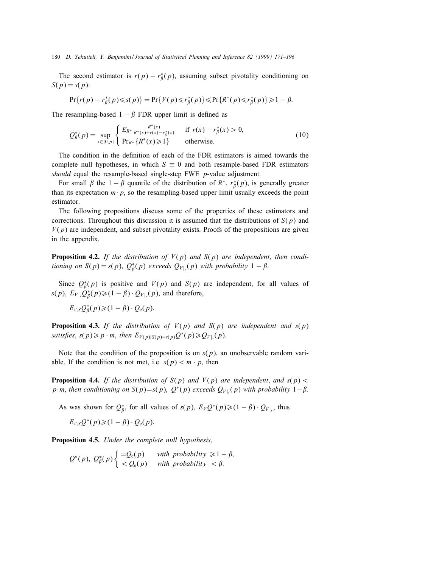The second estimator is  $r(p) - r^*_{\beta}(p)$ , assuming subset pivotality conditioning on  $S(p) = s(p)$ :

$$
\Pr\{r(p) - r_{\beta}^*(p) \leq s(p)\} = \Pr\{V(p) \leq r_{\beta}^*(p)\} \leq \Pr\{R^*(p) \leq r_{\beta}^*(p)\} \geq 1 - \beta.
$$

The resampling-based  $1 - \beta$  FDR upper limit is defined as

$$
Q_{\beta}^{*}(p) = \sup_{x \in [0, p]} \begin{cases} E_{R^{*}} \frac{R^{*}(x)}{R^{*}(x) + r(x) - r_{\beta}^{*}(x)} & \text{if } r(x) - r_{\beta}^{*}(x) > 0, \\ \Pr_{R^{*}} \{R^{*}(x) \ge 1\} & \text{otherwise.} \end{cases}
$$
(10)

The condition in the definition of each of the FDR estimators is aimed towards the complete null hypotheses, in which  $S \equiv 0$  and both resample-based FDR estimators should equal the resample-based single-step FWE  $p$ -value adjustment.

For small  $\beta$  the 1 -  $\beta$  quantile of the distribution of  $R^*$ ,  $r^*_{\beta}(p)$ , is generally greater than its expectation  $m \cdot p$ , so the resampling-based upper limit usually exceeds the point estimator.

The following propositions discuss some of the properties of these estimators and corrections. Throughout this discussion it is assumed that the distributions of  $S(p)$  and  $V(p)$  are independent, and subset pivotality exists. Proofs of the propositions are given in the appendix.

**Proposition 4.2.** If the distribution of  $V(p)$  and  $S(p)$  are independent, then conditioning on  $S(p) = s(p)$ ,  $Q_{\beta}^{*}(p)$  exceeds  $Q_{V|s}(p)$  with probability  $1 - \beta$ .

Since  $Q_{\beta}^{*}(p)$  is positive and  $V(p)$  and  $S(p)$  are independent, for all values of  $s(p), E_{V|_s}Q_{\beta}^*(p) \geq (1 - \beta) \cdot Q_{V|_s}(p)$ , and therefore,

$$
E_{V,S} \mathcal{Q}_{\beta}^*(p) \geq (1 - \beta) \cdot \mathcal{Q}_{e}(p).
$$

**Proposition 4.3.** If the distribution of  $V(p)$  and  $S(p)$  are independent and  $s(p)$ satisfies,  $s(p) \geq p \cdot m$ , then  $E_{V(p)|S(p)=s(p)}Q^*(p) \geq Q_{V|_s}(p)$ .

Note that the condition of the proposition is on  $s(p)$ , an unobservable random variable. If the condition is not met, i.e.  $s(p) < m \cdot p$ , then

**Proposition 4.4.** If the distribution of  $S(p)$  and  $V(p)$  are independent, and  $s(p)$ p·m, then conditioning on  $S(p)=s(p), Q^*(p)$  exceeds  $Q_{V|_s}(p)$  with probability  $1-\beta$ .

As was shown for  $Q_{\beta}^*$ , for all values of  $s(p)$ ,  $E_V Q^*(p) \geq (1 - \beta) \cdot Q_{V|_s}$ , thus

$$
E_{V,S}Q^*(p) \geq (1-\beta) \cdot Q_e(p).
$$

**Proposition 4.5.** Under the complete null hypothesis,

$$
Q^*(p), Q^*_{\beta}(p) \begin{cases} = Q_{e}(p) & \text{with probability } \geq 1 - \beta, \\ < Q_{e}(p) & \text{with probability } < \beta. \end{cases}
$$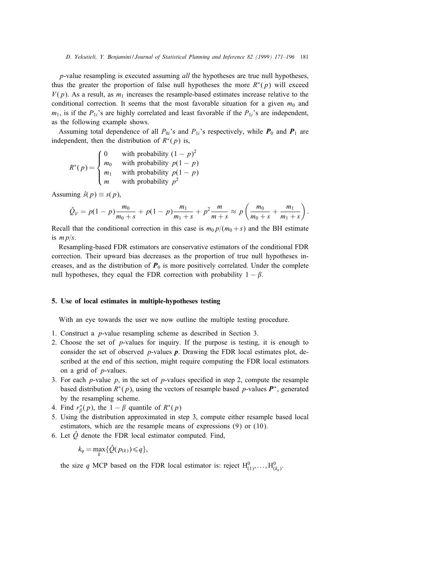p-value resampling is executed assuming all the hypotheses are true null hypotheses, thus the greater the proportion of false null hypotheses the more  $R^*(p)$  will exceed  $V(p)$ . As a result, as  $m_1$  increases the resample-based estimates increase relative to the conditional correction. It seems that the most favorable situation for a given  $m_0$  and  $m_1$ , is if the  $P_{1i}$ 's are highly correlated and least favorable if the  $P_{1i}$ 's are independent, as the following example shows.

Assuming total dependence of all  $P_{0i}$ 's and  $P_{1i}$ 's respectively, while  $P_0$  and  $P_1$  are independent, then the distribution of  $R^*(p)$  is,

$$
R^*(p) = \begin{cases} 0 & \text{with probability } (1-p)^2\\ m_0 & \text{with probability } p(1-p)\\ m_1 & \text{with probability } p(1-p)\\ m & \text{with probability } p^2 \end{cases}
$$

Assuming  $\hat{s}(p) \equiv s(p)$ ,

$$
\hat{Q}_V = p(1-p)\frac{m_0}{m_0+s} + p(1-p)\frac{m_1}{m_1+s} + p^2\frac{m}{m+s} \approx p\left(\frac{m_0}{m_0+s} + \frac{m_1}{m_1+s}\right).
$$

Recall that the conditional correction in this case is  $m_0 p/(m_0 + s)$  and the BH estimate is  $m p/s$ .

Resampling-based FDR estimators are conservative estimators of the conditional FDR correction. Their upward bias decreases as the proportion of true null hypotheses increases, and as the distribution of  $P_0$  is more positively correlated. Under the complete null hypotheses, they equal the FDR correction with probability  $1 - \beta$ .

## 5. Use of local estimates in multiple-hypotheses testing

With an eye towards the user we now outline the multiple testing procedure.

- 1. Construct a p-value resampling scheme as described in Section 3.
- 2. Choose the set of p-values for inquiry. If the purpose is testing, it is enough to consider the set of observed  $p$ -values  $p$ . Drawing the FDR local estimates plot, described at the end of this section, might require computing the FDR local estimators on a grid of p-values.
- 3. For each *p*-value  $p$ , in the set of *p*-values specified in step 2, compute the resample based distribution  $R^*(p)$ , using the vectors of resample based p-values  $P^*$ , generated by the resampling scheme.
- 4. Find  $r^*_{\beta}(p)$ , the  $1 \beta$  quantile of  $R^*(p)$
- 5. Using the distribution approximated in step 3, compute either resample based local estimators, which are the resample means of expressions (9) or (10).
- 6. Let  $\hat{Q}$  denote the FDR local estimator computed. Find,

$$
k_q = \max_k \{ \hat{Q}(p_{(k)}) \leq q \},\
$$

the size q MCP based on the FDR local estimator is: reject  $H^0_{(1)},\ldots,H^0_{(k_q)}$ .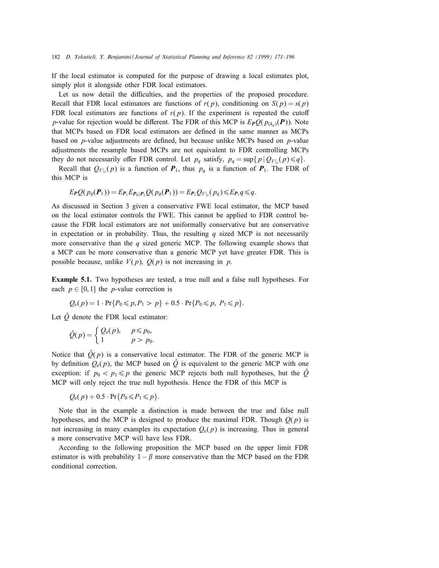If the local estimator is computed for the purpose of drawing a local estimates plot, simply plot it alongside other FDR local estimators.

Let us now detail the difficulties, and the properties of the proposed procedure. Recall that FDR local estimators are functions of  $r(p)$ , conditioning on  $S(p) = s(p)$ FDR local estimators are functions of  $v(p)$ . If the experiment is repeated the cutoff p-value for rejection would be different. The FDR of this MCP is  $E_{\bf{P}}Q(p_{(k_0)}({\bf{P}}))$ . Note that MCPs based on FDR local estimators are defined in the same manner as MCPs based on  $p$ -value adjustments are defined, but because unlike MCPs based on  $p$ -value adjustments the resample based MCPs are not equivalent to FDR controlling MCPs they do not necessarily offer FDR control. Let  $p_q$  satisfy,  $p_q = \sup\{p | Q_{V|_s}(p) \leq q\}.$ 

Recall that  $Q_{V|s}(p)$  is a function of  $P_1$ , thus  $p_q$  is a function of  $P_1$ . The FDR of this MCP is

$$
E_{\boldsymbol{P}}\mathcal{Q}(\boldsymbol{p}_q(\boldsymbol{P}_1)) = E_{\boldsymbol{P}_1}E_{\boldsymbol{P}_0|\boldsymbol{P}_1}\mathcal{Q}(\boldsymbol{p}_q(\boldsymbol{P}_1)) = E_{\boldsymbol{P}_1}\mathcal{Q}_{V|_S}(\boldsymbol{p}_q) \leq E_{\boldsymbol{P}_1}\boldsymbol{q} \leq \boldsymbol{q}.
$$

As discussed in Section 3 given a conservative FWE local estimator, the MCP based on the local estimator controls the FWE. This cannot be applied to FDR control because the FDR local estimators are not uniformally conservative but are conservative in expectation or in probability. Thus, the resulting q sized MCP is not necessarily more conservative than the  $q$  sized generic MCP. The following example shows that a MCP can be more conservative than a generic MCP yet have greater FDR. This is possible because, unlike  $V(p)$ ,  $Q(p)$  is not increasing in p.

Example 5.1. Two hypotheses are tested, a true null and a false null hypotheses. For each  $p \in [0, 1]$  the *p*-value correction is

$$
Q_e(p) = 1 \cdot Pr\{P_0 \leq p, P_1 > p\} + 0.5 \cdot Pr\{P_0 \leq p, P_1 \leq p\}.
$$

Let  $\hat{Q}$  denote the FDR local estimator:

$$
\hat{Q}(p) = \begin{cases} Q_{e}(p), & p \leq p_0, \\ 1 & p > p_0. \end{cases}
$$

Notice that  $\hat{Q}(p)$  is a conservative local estimator. The FDR of the generic MCP is by definition  $Q_e(p)$ , the MCP based on  $\hat{Q}$  is equivalent to the generic MCP with one exception: if  $p_0 < p_1 \leq p$  the generic MCP rejects both null hypotheses, but the  $\hat{Q}$ MCP will only reject the true null hypothesis. Hence the FDR of this MCP is

$$
Q_{e}(p) + 0.5 \cdot \Pr\{P_0 \leq P_1 \leq p\}.
$$

Note that in the example a distinction is made between the true and false null hypotheses, and the MCP is designed to produce the maximal FDR. Though  $Q(p)$  is not increasing in many examples its expectation  $Q_e(p)$  is increasing. Thus in general a more conservative MCP will have less FDR.

According to the following proposition the MCP based on the upper limit FDR estimator is with probability  $1 - \beta$  more conservative than the MCP based on the FDR conditional correction.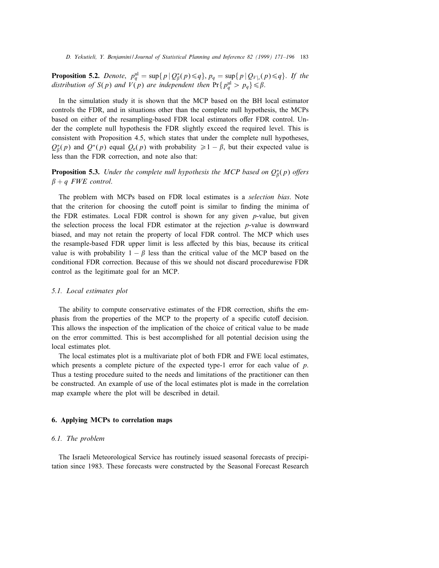**Proposition 5.2.** Denote,  $p_q^{\text{ul}} = \sup\{p | Q^*_\beta(p) \leq q\}$ ,  $p_q = \sup\{p | Q_{V|_s}(p) \leq q\}$ . If the distribution of  $S(p)$  and  $V(p)$  are independent then  $Pr{p_q^{\text{ul}} > p_q} \leq \beta$ .

In the simulation study it is shown that the MCP based on the BH local estimator controls the FDR, and in situations other than the complete null hypothesis, the MCPs based on either of the resampling-based FDR local estimators offer FDR control. Under the complete null hypothesis the FDR slightly exceed the required level. This is consistent with Proposition 4.5, which states that under the complete null hypotheses,  $Q_{\beta}^{*}(p)$  and  $Q^{*}(p)$  equal  $Q_{e}(p)$  with probability  $\geq 1-\beta$ , but their expected value is less than the FDR correction, and note also that:

**Proposition 5.3.** Under the complete null hypothesis the MCP based on  $Q_{\beta}^{*}(p)$  offers  $\beta + q$  FWE control.

The problem with MCPs based on FDR local estimates is a selection bias. Note that the criterion for choosing the cutoff point is similar to finding the minima of the FDR estimates. Local FDR control is shown for any given  $p$ -value, but given the selection process the local FDR estimator at the rejection p-value is downward biased, and may not retain the property of local FDR control. The MCP which uses the resample-based FDR upper limit is less affected by this bias, because its critical value is with probability  $1 - \beta$  less than the critical value of the MCP based on the conditional FDR correction. Because of this we should not discard procedurewise FDR control as the legitimate goal for an MCP.

#### 5.1. Local estimates plot

The ability to compute conservative estimates of the FDR correction, shifts the emphasis from the properties of the MCP to the property of a specific cutoff decision. This allows the inspection of the implication of the choice of critical value to be made on the error committed. This is best accomplished for all potential decision using the local estimates plot.

The local estimates plot is a multivariate plot of both FDR and FWE local estimates, which presents a complete picture of the expected type-1 error for each value of  $p$ . Thus a testing procedure suited to the needs and limitations of the practitioner can then be constructed. An example of use of the local estimates plot is made in the correlation map example where the plot will be described in detail.

# 6. Applying MCPs to correlation maps

## 6.1. The problem

The Israeli Meteorological Service has routinely issued seasonal forecasts of precipitation since 1983. These forecasts were constructed by the Seasonal Forecast Research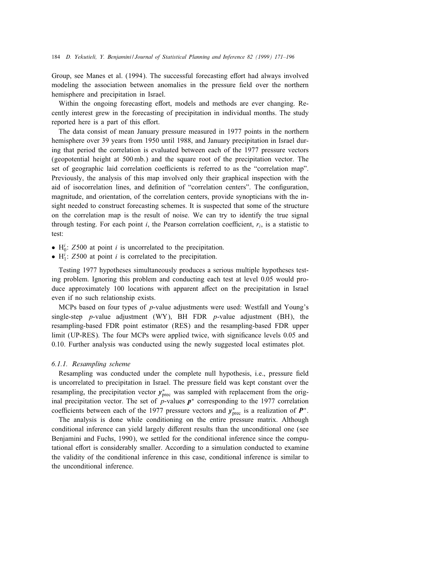Group, see Manes et al. (1994). The successful forecasting effort had always involved modeling the association between anomalies in the pressure field over the northern hemisphere and precipitation in Israel.

Within the ongoing forecasting effort, models and methods are ever changing. Recently interest grew in the forecasting of precipitation in individual months. The study reported here is a part of this effort.

The data consist of mean January pressure measured in 1977 points in the northern hemisphere over 39 years from 1950 until 1988, and January precipitation in Israel during that period the correlation is evaluated between each of the 1977 pressure vectors (geopotential height at 500 mb.) and the square root of the precipitation vector. The set of geographic laid correlation coefficients is referred to as the "correlation map". Previously, the analysis of this map involved only their graphical inspection with the aid of isocorrelation lines, and definition of "correlation centers". The configuration, magnitude, and orientation, of the correlation centers, provide synopticians with the insight needed to construct forecasting schemes. It is suspected that some of the structure on the correlation map is the result of noise. We can try to identify the true signal through testing. For each point i, the Pearson correlation coefficient,  $r_i$ , is a statistic to test:

- $H_0^i$ : Z500 at point *i* is uncorrelated to the precipitation.
- $H_1^i$ : Z500 at point *i* is correlated to the precipitation.

Testing 1977 hypotheses simultaneously produces a serious multiple hypotheses testing problem. Ignoring this problem and conducting each test at level 0:05 would produce approximately 100 locations with apparent affect on the precipitation in Israel even if no such relationship exists.

MCPs based on four types of p-value adjustments were used: Westfall and Young's single-step *p*-value adjustment (WY), BH FDR *p*-value adjustment (BH), the resampling-based FDR point estimator (RES) and the resampling-based FDR upper limit (UP-RES). The four MCPs were applied twice, with signicance levels 0:05 and 0:10. Further analysis was conducted using the newly suggested local estimates plot.

## 6.1.1. Resampling scheme

Resampling was conducted under the complete null hypothesis, *i.e.*, pressure field is uncorrelated to precipitation in Israel. The pressure field was kept constant over the resampling, the precipitation vector  $y^*_{\text{prec}}$  was sampled with replacement from the original precipitation vector. The set of p-values  $p^*$  corresponding to the 1977 correlation coefficients between each of the 1977 pressure vectors and  $y_{\text{prec}}^*$  is a realization of  $\mathbf{P}^*$ .

The analysis is done while conditioning on the entire pressure matrix. Although conditional inference can yield largely different results than the unconditional one (see Benjamini and Fuchs, 1990), we settled for the conditional inference since the computational effort is considerably smaller. According to a simulation conducted to examine the validity of the conditional inference in this case, conditional inference is similar to the unconditional inference.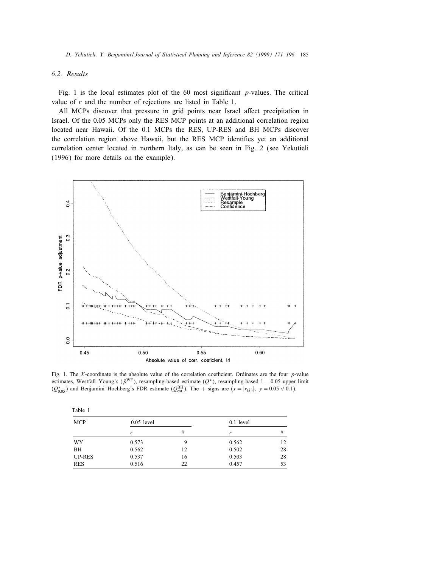## 6.2. Results

Fig. 1 is the local estimates plot of the 60 most significant *p*-values. The critical value of  $r$  and the number of rejections are listed in Table 1.

All MCPs discover that pressure in grid points near Israel affect precipitation in Israel. Of the 0:05 MCPs only the RES MCP points at an additional correlation region located near Hawaii. Of the 0:1 MCPs the RES, UP-RES and BH MCPs discover the correlation region above Hawaii, but the RES MCP identifies yet an additional correlation center located in northern Italy, as can be seen in Fig. 2 (see Yekutieli (1996) for more details on the example).



Fig. 1. The X-coordinate is the absolute value of the correlation coefficient. Ordinates are the four  $p$ -value estimates, Westfall–Young's ( $\tilde{p}^{WF}$ ), resampling-based estimate ( $Q^*$ ), resampling-based 1 – 0.05 upper limit  $(Q_{0.05}^*)$  and Benjamini–Hochberg's FDR estimate  $(Q_{est}^{BH})$ . The + signs are  $(x = |r_{(k)}|, y = 0.05 \vee 0.1)$ .

| Table 1       |              |    |           |    |
|---------------|--------------|----|-----------|----|
| <b>MCP</b>    | $0.05$ level |    | 0.1 level |    |
|               | r            | #  | r         | #  |
| WY            | 0.573        | q  | 0.562     | 12 |
| BH            | 0.562        | 12 | 0.502     | 28 |
| <b>UP-RES</b> | 0.537        | 16 | 0.503     | 28 |
| <b>RES</b>    | 0.516        | 22 | 0.457     | 53 |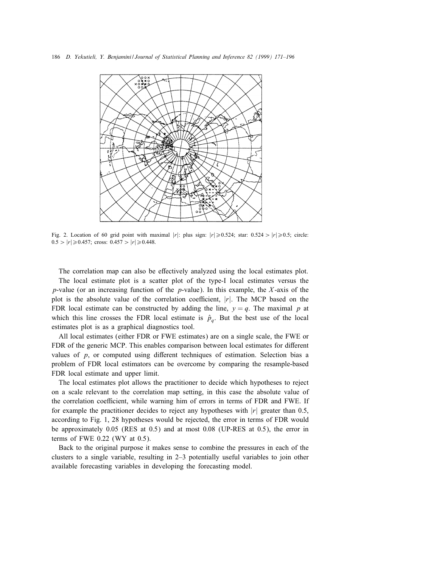

Fig. 2. Location of 60 grid point with maximal  $|r|$ : plus sign:  $|r| \ge 0.524$ ; star: 0.524 >  $|r| \ge 0.5$ ; circle:  $0.5 > |r| \geq 0.457$ ; cross:  $0.457 > |r| \geq 0.448$ .

The correlation map can also be effectively analyzed using the local estimates plot.

The local estimate plot is a scatter plot of the type-I local estimates versus the p-value (or an increasing function of the p-value). In this example, the  $X$ -axis of the plot is the absolute value of the correlation coefficient,  $|r|$ . The MCP based on the FDR local estimate can be constructed by adding the line,  $y = q$ . The maximal p at which this line crosses the FDR local estimate is  $\hat{p}_q$ . But the best use of the local estimates plot is as a graphical diagnostics tool.

All local estimates (either FDR or FWE estimates) are on a single scale, the FWE or FDR of the generic MCP. This enables comparison between local estimates for different values of  $p$ , or computed using different techniques of estimation. Selection bias a problem of FDR local estimators can be overcome by comparing the resample-based FDR local estimate and upper limit.

The local estimates plot allows the practitioner to decide which hypotheses to reject on a scale relevant to the correlation map setting, in this case the absolute value of the correlation coefficient, while warning him of errors in terms of FDR and FWE. If for example the practitioner decides to reject any hypotheses with  $|r|$  greater than 0.5, according to Fig. 1, 28 hypotheses would be rejected, the error in terms of FDR would be approximately 0.05 (RES at 0.5) and at most 0.08 (UP-RES at 0.5), the error in terms of FWE  $0.22$  (WY at  $0.5$ ).

Back to the original purpose it makes sense to combine the pressures in each of the clusters to a single variable, resulting in 2–3 potentially useful variables to join other available forecasting variables in developing the forecasting model.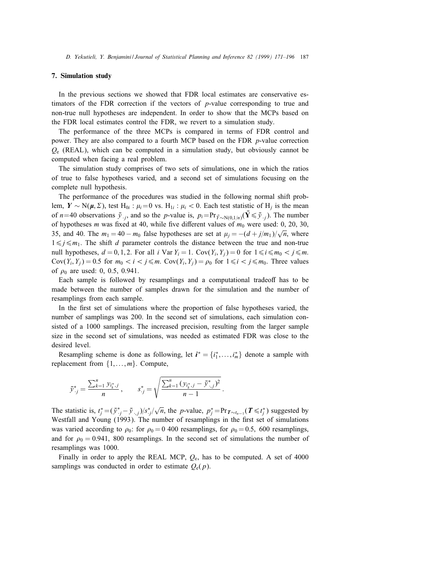## 7. Simulation study

In the previous sections we showed that FDR local estimates are conservative estimators of the FDR correction if the vectors of  $p$ -value corresponding to true and non-true null hypotheses are independent. In order to show that the MCPs based on the FDR local estimates control the FDR, we revert to a simulation study.

The performance of the three MCPs is compared in terms of FDR control and power. They are also compared to a fourth MCP based on the FDR  $p$ -value correction  $Q_e$  (REAL), which can be computed in a simulation study, but obviously cannot be computed when facing a real problem.

The simulation study comprises of two sets of simulations, one in which the ratios of true to false hypotheses varied, and a second set of simulations focusing on the complete null hypothesis.

The performance of the procedures was studied in the following normal shift problem,  $Y \sim N(\mu, \Sigma)$ , test H<sub>0i</sub> :  $\mu_i=0$  vs. H<sub>1i</sub> :  $\mu_i < 0$ . Each test statistic of H<sub>j</sub> is the mean of n=40 observations  $\bar{y}_{\cdot,i}$ , and so the p-value is,  $p_i = Pr_{\bar{y}_{\cdot} \sim N(0,1/n)}(\bar{Y} \leq \bar{y}_{\cdot,i})$ . The number of hypotheses *m* was fixed at 40, while five different values of  $m_0$  were used: 0, 20, 30, 35, and 40. The  $m_1 = 40 - m_0$  false hypotheses are set at  $\mu_j = -(d + j/m_1)/\sqrt{n}$ , where  $1 \leq j \leq m_1$ . The shift d parameter controls the distance between the true and non-true null hypotheses,  $d = 0, 1, 2$ . For all i Var  $Y_i = 1$ . Cov $(Y_i, Y_j) = 0$  for  $1 \le i \le m_0 < j \le m$ .  $Cov(Y_i, Y_j) = 0.5$  for  $m_0 < i < j \le m$ .  $Cov(Y_i, Y_j) = \rho_0$  for  $1 \le i < j \le m_0$ . Three values of  $\rho_0$  are used: 0, 0.5, 0.941.

Each sample is followed by resamplings and a computational tradeoff has to be made between the number of samples drawn for the simulation and the number of resamplings from each sample.

In the first set of simulations where the proportion of false hypotheses varied, the number of samplings was 200. In the second set of simulations, each simulation consisted of a 1000 samplings. The increased precision, resulting from the larger sample size in the second set of simulations, was needed as estimated FDR was close to the desired level.

Resampling scheme is done as following, let  $i^* = \{i_1^*, \ldots, i_m^*\}$  denote a sample with replacement from  $\{1,\ldots,m\}$ . Compute,

$$
\bar{y}_{\cdot j}^* = \frac{\sum_{k=1}^n y_{i_k^*j}}{n}, \qquad s_{\cdot j}^* = \sqrt{\frac{\sum_{k=1}^n (y_{i_k^*j} - \bar{y}_{\cdot,j}^*)^2}{n-1}}.
$$

The statistic is,  $t_j^* = (\bar{y}_{j}^* - \bar{y}_{j}^*)/s_{j}^*/\sqrt{n}$ , the *p*-value,  $p_j^* = Pr_{\mathcal{I} \sim t_{n-1}}(\mathcal{I} \leq t_j^*)$  suggested by Westfall and Young (1993). The number of resamplings in the first set of simulations was varied according to  $\rho_0$ : for  $\rho_0 = 0.400$  resamplings, for  $\rho_0 = 0.5$ , 600 resamplings, and for  $\rho_0 = 0.941$ , 800 resamplings. In the second set of simulations the number of resamplings was 1000.

Finally in order to apply the REAL MCP,  $Q_e$ , has to be computed. A set of 4000 samplings was conducted in order to estimate  $Q_e(p)$ .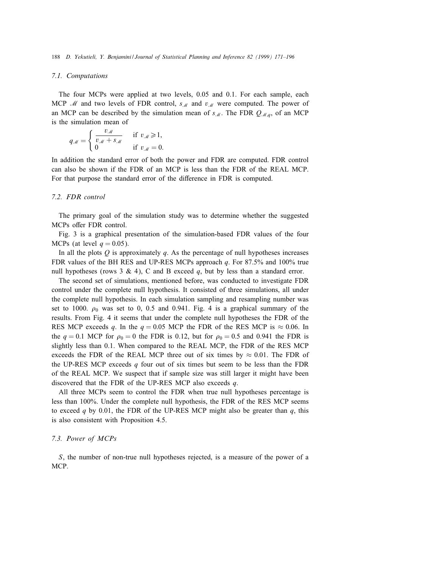## 7.1. Computations

The four MCPs were applied at two levels, 0.05 and 0.1. For each sample, each MCP  $\mathcal{M}$  and two levels of FDR control,  $s_M$  and  $v_M$  were computed. The power of an MCP can be described by the simulation mean of  $s_{\mathcal{M}}$ . The FDR  $Q_{\mathcal{M},q}$ , of an MCP is the simulation mean of

$$
q_{\mathcal{M}} = \begin{cases} \frac{v_{\mathcal{M}}}{v_{\mathcal{M}} + s_{\mathcal{M}}} & \text{if } v_{\mathcal{M}} \ge 1, \\ 0 & \text{if } v_{\mathcal{M}} = 0. \end{cases}
$$

In addition the standard error of both the power and FDR are computed. FDR control can also be shown if the FDR of an MCP is less than the FDR of the REAL MCP. For that purpose the standard error of the difference in FDR is computed.

# 7.2. FDR control

The primary goal of the simulation study was to determine whether the suggested MCPs offer FDR control.

Fig. 3 is a graphical presentation of the simulation-based FDR values of the four MCPs (at level  $q = 0.05$ ).

In all the plots  $Q$  is approximately  $q$ . As the percentage of null hypotheses increases FDR values of the BH RES and UP-RES MCPs approach  $q$ . For 87.5% and 100% true null hypotheses (rows 3 & 4), C and B exceed q, but by less than a standard error.

The second set of simulations, mentioned before, was conducted to investigate FDR control under the complete null hypothesis. It consisted of three simulations, all under the complete null hypothesis. In each simulation sampling and resampling number was set to 1000.  $\rho_0$  was set to 0, 0.5 and 0.941. Fig. 4 is a graphical summary of the results. From Fig. 4 it seems that under the complete null hypotheses the FDR of the RES MCP exceeds q. In the  $q = 0.05$  MCP the FDR of the RES MCP is  $\approx 0.06$ . In the  $q = 0.1$  MCP for  $\rho_0 = 0$  the FDR is 0.12, but for  $\rho_0 = 0.5$  and 0.941 the FDR is slightly less than 0.1. When compared to the REAL MCP, the FDR of the RES MCP exceeds the FDR of the REAL MCP three out of six times by  $\approx 0.01$ . The FDR of the UP-RES MCP exceeds q four out of six times but seem to be less than the FDR of the REAL MCP. We suspect that if sample size was still larger it might have been discovered that the FDR of the UP-RES MCP also exceeds  $q$ .

All three MCPs seem to control the FDR when true null hypotheses percentage is less than 100%. Under the complete null hypothesis, the FDR of the RES MCP seems to exceed q by 0.01, the FDR of the UP-RES MCP might also be greater than  $q$ , this is also consistent with Proposition 4.5.

# 7.3. Power of MCPs

S, the number of non-true null hypotheses rejected, is a measure of the power of a MCP.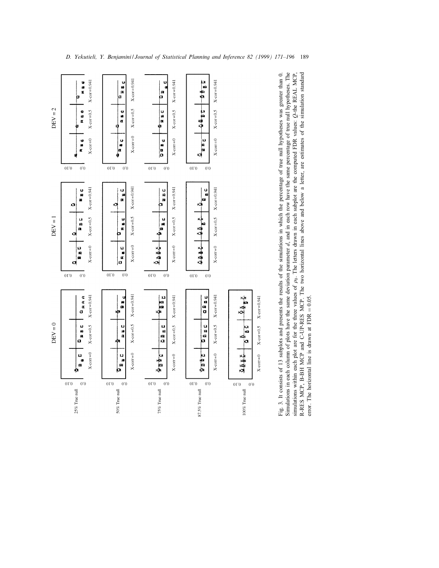

error. The horizontal line is drawn at FDR  $= 0.05$ .

error. The horizontal line is drawn at FDR  $= 0.05$ .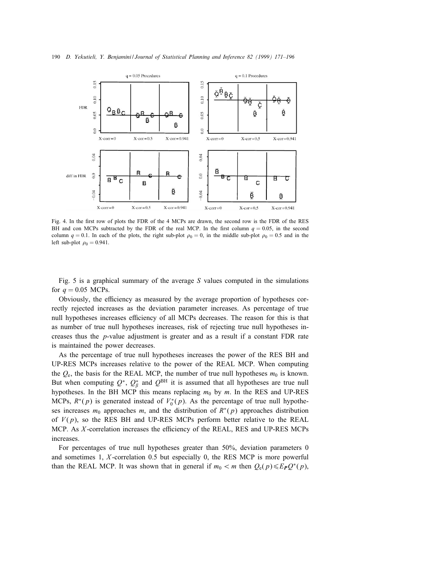

Fig. 4. In the first row of plots the FDR of the 4 MCPs are drawn, the second row is the FDR of the RES BH and con MCPs subtracted by the FDR of the real MCP. In the first column  $q = 0.05$ , in the second column  $q = 0.1$ . In each of the plots, the right sub-plot  $\rho_0 = 0$ , in the middle sub-plot  $\rho_0 = 0.5$  and in the left sub-plot  $\rho_0 = 0.941$ .

Fig. 5 is a graphical summary of the average  $S$  values computed in the simulations for  $q = 0.05$  MCPs.

Obviously, the efficiency as measured by the average proportion of hypotheses correctly rejected increases as the deviation parameter increases. As percentage of true null hypotheses increases efficiency of all MCPs decreases. The reason for this is that as number of true null hypotheses increases, risk of rejecting true null hypotheses increases thus the  $p$ -value adjustment is greater and as a result if a constant FDR rate is maintained the power decreases.

As the percentage of true null hypotheses increases the power of the RES BH and UP-RES MCPs increases relative to the power of the REAL MCP. When computing the  $Q_{\rm e}$ , the basis for the REAL MCP, the number of true null hypotheses  $m_0$  is known. But when computing  $Q^*$ ,  $Q^*_{\beta}$  and  $Q^{\text{BH}}$  it is assumed that all hypotheses are true null hypotheses. In the BH MCP this means replacing  $m_0$  by m. In the RES and UP-RES MCPs,  $R^*(p)$  is generated instead of  $V_0^*(p)$ . As the percentage of true null hypotheses increases  $m_0$  approaches m, and the distribution of  $R^*(p)$  approaches distribution of  $V(p)$ , so the RES BH and UP-RES MCPs perform better relative to the REAL MCP. As  $X$ -correlation increases the efficiency of the REAL, RES and UP-RES MCPs increases.

For percentages of true null hypotheses greater than 50%, deviation parameters 0 and sometimes 1,  $X$ -correlation 0.5 but especially 0, the RES MCP is more powerful than the REAL MCP. It was shown that in general if  $m_0 < m$  then  $Q_e(p) \leq E_PQ^*(p)$ ,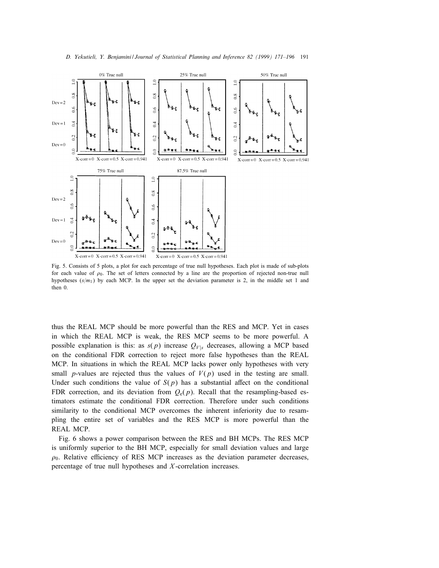

Fig. 5. Consists of 5 plots, a plot for each percentage of true null hypotheses. Each plot is made of sub-plots for each value of  $\rho_0$ . The set of letters connected by a line are the proportion of rejected non-true null hypotheses  $(s/m_1)$  by each MCP. In the upper set the deviation parameter is 2, in the middle set 1 and then 0.

thus the REAL MCP should be more powerful than the RES and MCP. Yet in cases in which the REAL MCP is weak, the RES MCP seems to be more powerful. A possible explanation is this: as  $s(p)$  increase  $Q_{V|s}$  decreases, allowing a MCP based on the conditional FDR correction to reject more false hypotheses than the REAL MCP. In situations in which the REAL MCP lacks power only hypotheses with very small *p*-values are rejected thus the values of  $V(p)$  used in the testing are small. Under such conditions the value of  $S(p)$  has a substantial affect on the conditional FDR correction, and its deviation from  $O_e(p)$ . Recall that the resampling-based estimators estimate the conditional FDR correction. Therefore under such conditions similarity to the conditional MCP overcomes the inherent inferiority due to resampling the entire set of variables and the RES MCP is more powerful than the REAL MCP.

Fig. 6 shows a power comparison between the RES and BH MCPs. The RES MCP is uniformly superior to the BH MCP, especially for small deviation values and large  $\rho_0$ . Relative efficiency of RES MCP increases as the deviation parameter decreases, percentage of true null hypotheses and  $X$ -correlation increases.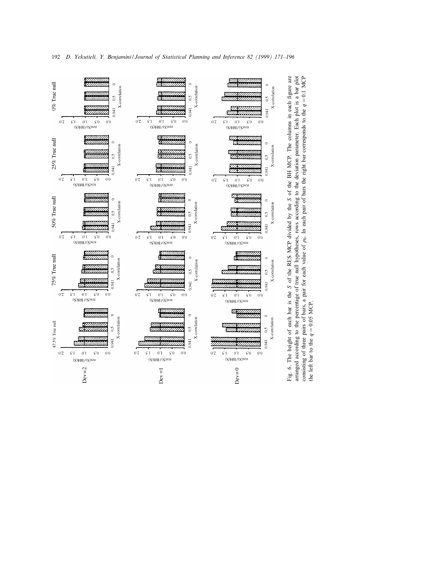

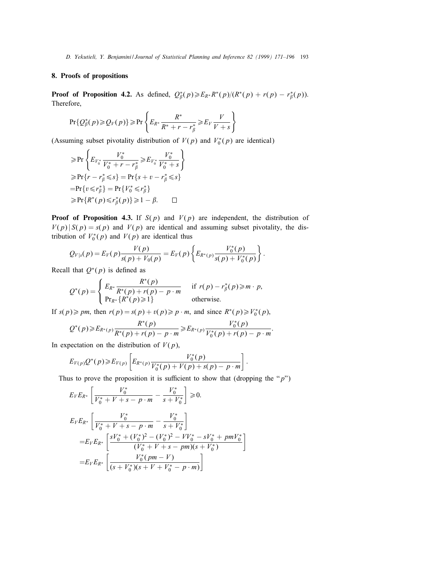# 8. Proofs of propositions

**Proof of Proposition 4.2.** As defined,  $Q_{\beta}^{*}(p) \geq E_{R^{*}} R^{*}(p) / (R^{*}(p) + r(p) - r_{\beta}^{*}(p)).$ Therefore,

$$
\Pr\{Q_{\beta}^*(p) \geqslant Q_V(p)\} \geqslant \Pr\left\{E_{R^*}\frac{R^*}{R^*+r-r_{\beta}^*} \geqslant E_V\frac{V}{V+s}\right\}
$$

(Assuming subset pivotality distribution of  $V(p)$  and  $V_0^*(p)$  are identical)

$$
\geq \Pr\left\{E_{V_0^*} \frac{V_0^*}{V_0^* + r - r_\beta^*} \geq E_{V_0^*} \frac{V_0^*}{V_0^* + s}\right\}
$$
  
\n
$$
\geq \Pr\{r - r_\beta^* \leq s\} = \Pr\{s + v - r_\beta^* \leq s\}
$$
  
\n
$$
= \Pr\{v \leq r_\beta^*\} = \Pr\{V_0^* \leq r_\beta^*\}
$$
  
\n
$$
\geq \Pr\{R^*(p) \leq r_\beta^*(p)\} \geq 1 - \beta. \qquad \Box
$$

**Proof of Proposition 4.3.** If  $S(p)$  and  $V(p)$  are independent, the distribution of  $V(p) | S(p) = s(p)$  and  $V(p)$  are identical and assuming subset pivotality, the distribution of  $V_0^*(p)$  and  $V(p)$  are identical thus

$$
Q_{V|s}(p) = E_V(p) \frac{V(p)}{s(p) + V_0(p)} = E_V(p) \left\{ E_{R^*(p)} \frac{V_0^*(p)}{s(p) + V_0^*(p)} \right\}.
$$

Recall that  $Q^*(p)$  is defined as

$$
Q^*(p) = \begin{cases} E_{R^*} \frac{R^*(p)}{R^*(p) + r(p) - p \cdot m} & \text{if } r(p) - r^*_\beta(p) \ge m \cdot p, \\ \Pr_{R^*} \{ R^*(p) \ge 1 \} & \text{otherwise.} \end{cases}
$$

If  $s(p) \geq p m$ , then  $r(p) = s(p) + v(p) \geq p \cdot m$ , and since  $R^*(p) \geq V_0^*(p)$ ,

$$
Q^*(p) \geq E_{R^*(p)} \frac{R^*(p)}{R^*(p) + r(p) - p \cdot m} \geq E_{R^*(p)} \frac{V_0^*(p)}{V_0^*(p) + r(p) - p \cdot m}.
$$

In expectation on the distribution of  $V(p)$ ,

$$
E_{V(p)}Q^*(p) \geq E_{V(p)}\left[E_{R^*(p)}\frac{V_0^*(p)}{V_0^*(p)+V(p)+s(p)-p\cdot m}\right].
$$

Thus to prove the proposition it is sufficient to show that (dropping the " $p$ ")

1

$$
E_V E_{R^*} \left[ \frac{V_0^*}{V_0^* + V + s - p \cdot m} - \frac{V_0^*}{s + V_0^*} \right] \ge 0.
$$
  
\n
$$
E_V E_{R^*} \left[ \frac{V_0^*}{V_0^* + V + s - p \cdot m} - \frac{V_0^*}{s + V_0^*} \right]
$$
  
\n
$$
= E_V E_{R^*} \left[ \frac{sV_0^* + (V_0^*)^2 - (V_0^*)^2 - VV_0^* - sV_0^* + pmV_0^*}{(V_0^* + V + s - pm)(s + V_0^*)} \right]
$$
  
\n
$$
= E_V E_{R^*} \left[ \frac{V_0^*(pm - V)}{(s + V_0^*)(s + V + V_0^* - p \cdot m)} \right]
$$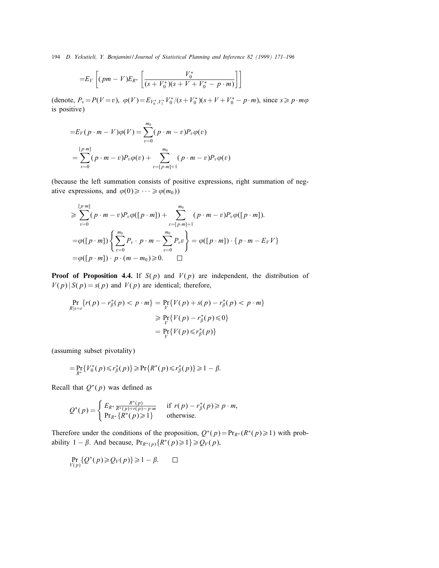194 D. Yekutieli, Y. Benjamini / Journal of Statistical Planning and Inference 82 (1999) 171–196

$$
= E_V \left[ (pm - V) E_{R^*} \left[ \frac{V_0^*}{(s + V_0^*)(s + V + V_0^* - p \cdot m)} \right] \right]
$$

(denote,  $P_v = P(V = v)$ ,  $\varphi(V) = E_{V_0^*, V_1^*} V_0^* / (s + V_0^*) (s + V + V_0^* - p \cdot m)$ , since  $s \geq p \cdot m\varphi$ is positive)

$$
=E_V(p \cdot m - V)\varphi(V) = \sum_{v=0}^{m_0} (p \cdot m - v)P_v\varphi(v)
$$
  
= 
$$
\sum_{v=0}^{[p \cdot m]} (p \cdot m - v)P_v\varphi(v) + \sum_{v=[p \cdot m]+1}^{m_0} (p \cdot m - v)P_v\varphi(v)
$$

(because the left summation consists of positive expressions, right summation of negative expressions, and  $\varphi(0) \geq \cdots \geq \varphi(m_0)$ )

$$
\geq \sum_{v=0}^{\lfloor p\cdot m \rfloor} (p \cdot m - v) P_v \varphi([\, p \cdot m]) + \sum_{v=\lfloor p\cdot m \rfloor+1}^{m_0} (p \cdot m - v) P_v \varphi([\, p \cdot m]).
$$
  
=  $\varphi([p \cdot m]) \left\{ \sum_{v=0}^{m_0} P_v \cdot p \cdot m - \sum_{v=0}^{m_0} P_v v \right\} = \varphi([\, p \cdot m]) \cdot \{p \cdot m - E_V V\}$   
=  $\varphi([\, p \cdot m]) \cdot p \cdot (m - m_0) \geq 0.$ 

**Proof of Proposition 4.4.** If  $S(p)$  and  $V(p)$  are independent, the distribution of  $V(p) | S(p) = s(p)$  and  $V(p)$  are identical; therefore,

$$
\Pr_{R|s=s} \{r(p) - r_{\beta}^{*}(p) < p \cdot m\} = \Pr_{V} \{V(p) + s(p) - r_{\beta}^{*}(p) < p \cdot m\}
$$
\n
$$
\geq \Pr_{V} \{V(p) - r_{\beta}^{*}(p) \leq 0\}
$$
\n
$$
= \Pr_{V} \{V(p) \leq r_{\beta}^{*}(p)\}
$$

(assuming subset pivotality)

$$
= \Pr_{R^*} \{ V_0^*(p) \le r_\beta^*(p) \} \ge \Pr \{ R^*(p) \le r_\beta^*(p) \} \ge 1 - \beta.
$$

Recall that  $Q^*(p)$  was defined as

$$
Q^*(p) = \begin{cases} E_{R^*} \frac{R^*(p)}{R^*(p) + r(p) - p \cdot m} & \text{if } r(p) - r^*_\beta(p) \geqslant p \cdot m, \\ \Pr_{R^*} \{ R^*(p) \geqslant 1 \} & \text{otherwise.} \end{cases}
$$

Therefore under the conditions of the proposition,  $Q^*(p) = Pr_{R^*}(R^*(p) \ge 1)$  with probability 1 –  $\beta$ . And because,  $Pr_{R^*(p)}\{R^*(p) \geq 1\} \geq Q_V(p)$ ,

$$
\Pr_{V(p)}\{Q^*(p)\geqslant Q_V(p)\}\geqslant 1-\beta.\qquad \Box
$$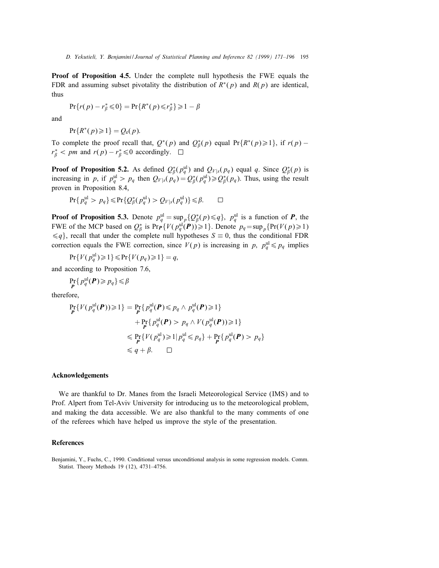**Proof of Proposition 4.5.** Under the complete null hypothesis the FWE equals the FDR and assuming subset pivotality the distribution of  $R^*(p)$  and  $R(p)$  are identical, thus

$$
\Pr\{r(p) - r_{\beta}^* \leq 0\} = \Pr\{R^*(p) \leq r_{\beta}^*\} \geq 1 - \beta
$$

and

$$
Pr{R^*(p) \geq 1} = Q_e(p).
$$

To complete the proof recall that,  $Q^*(p)$  and  $Q^*_{\beta}(p)$  equal Pr{ $R^*(p) \ge 1$ }, if  $r(p)$  –  $r_{\beta}^*$  < pm and  $r(p) - r_{\beta}^* \leq 0$  accordingly.  $\Box$ 

**Proof of Proposition 5.2.** As defined  $Q^*_{\beta}(p^{\text{ul}}_q)$  and  $Q_{V|s}(p_q)$  equal q. Since  $Q^*_{\beta}(p)$  is increasing in p, if  $p_q^{\text{ul}} > p_q$  then  $Q_{V|s}(p_q) = Q^*_{\beta}(p_q^{\text{ul}}) \geq Q^*_{\beta}(p_q)$ . Thus, using the result proven in Proposition 8.4,

$$
\Pr\{p_q^{\text{ul}} > p_q\} \le \Pr\{Q_\beta^*(p_q^{\text{ul}}) > Q_{V|s}(p_q^{\text{ul}})\} \le \beta. \qquad \Box
$$

**Proof of Proposition 5.3.** Denote  $p_q^{\text{ul}} = \sup_p \{Q^*_\beta(p) \leq q\}$ ,  $p_q^{\text{ul}}$  is a function of **P**, the FWE of the MCP based on  $Q_{\beta}^*$  is  $Pr_{\mathbf{P}}\{V(p_q^{\text{ul}}(\mathbf{P})) \geq 1\}$ . Denote  $p_q = \sup_p \{Pr(V(p) \geq 1)$  $\leq q$ , recall that under the complete null hypotheses  $S \equiv 0$ , thus the conditional FDR correction equals the FWE correction, since  $V(p)$  is increasing in p,  $p_q^{\text{ul}} \leq p_q$  implies

$$
Pr{V(p_q^{\text{ul}}) \geq 1} \leq Pr{V(p_q) \geq 1} = q,
$$

and according to Proposition 7:6,

$$
\Pr_{\boldsymbol{P}}\{p_q^{\text{ul}}(\boldsymbol{P}) \geq p_q\} \leq \beta
$$

therefore,

$$
\Pr_{\mathbf{P}}\{V(p_q^{\text{ul}}(\mathbf{P})) \ge 1\} = \Pr_{\mathbf{P}}\{p_q^{\text{ul}}(\mathbf{P}) \le p_q \land p_q^{\text{ul}}(\mathbf{P}) \ge 1\} \n+ \Pr_{\mathbf{P}}\{p_q^{\text{ul}}(\mathbf{P}) > p_q \land V(p_q^{\text{ul}}(\mathbf{P})) \ge 1\} \n\le \Pr_{\mathbf{P}}\{V(p_q^{\text{ul}}) \ge 1 | p_q^{\text{ul}} \le p_q\} + \Pr_{\mathbf{P}}\{p_q^{\text{ul}}(\mathbf{P}) > p_q\} \n\le q + \beta. \quad \Box
$$

## Acknowledgements

We are thankful to Dr. Manes from the Israeli Meteorological Service (IMS) and to Prof. Alpert from Tel-Aviv University for introducing us to the meteorological problem, and making the data accessible. We are also thankful to the many comments of one of the referees which have helped us improve the style of the presentation.

## References

Benjamini, Y., Fuchs, C., 1990. Conditional versus unconditional analysis in some regression models. Comm. Statist. Theory Methods 19 (12), 4731–4756.